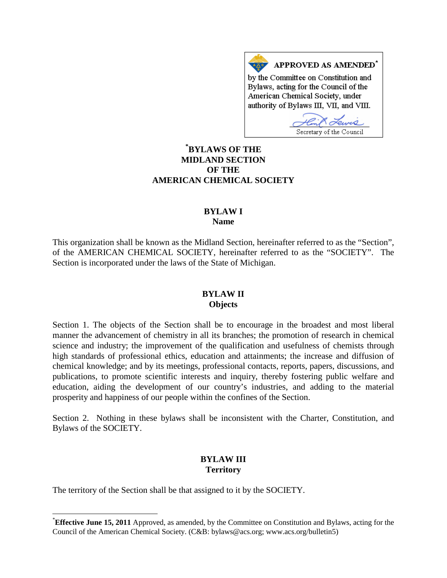APPROVED AS AMENDED<sup>\*</sup> by the Committee on Constitution and Bylaws, acting for the Council of the American Chemical Society, under authority of Bylaws III, VII, and VIII.

Secretary of the Council

## **[\\*](#page-0-0) BYLAWS OF THE MIDLAND SECTION OF THE AMERICAN CHEMICAL SOCIETY**

### **BYLAW I Name**

This organization shall be known as the Midland Section, hereinafter referred to as the "Section", of the AMERICAN CHEMICAL SOCIETY, hereinafter referred to as the "SOCIETY". The Section is incorporated under the laws of the State of Michigan.

#### **BYLAW II Objects**

Section 1. The objects of the Section shall be to encourage in the broadest and most liberal manner the advancement of chemistry in all its branches; the promotion of research in chemical science and industry; the improvement of the qualification and usefulness of chemists through high standards of professional ethics, education and attainments; the increase and diffusion of chemical knowledge; and by its meetings, professional contacts, reports, papers, discussions, and publications, to promote scientific interests and inquiry, thereby fostering public welfare and education, aiding the development of our country's industries, and adding to the material prosperity and happiness of our people within the confines of the Section.

Section 2. Nothing in these bylaws shall be inconsistent with the Charter, Constitution, and Bylaws of the SOCIETY.

### **BYLAW III Territory**

The territory of the Section shall be that assigned to it by the SOCIETY.

<span id="page-0-0"></span> <sup>\*</sup> **Effective June 15, 2011** Approved, as amended, by the Committee on Constitution and Bylaws, acting for the Council of the American Chemical Society. (C&B: bylaws@acs.org; www.acs.org/bulletin5)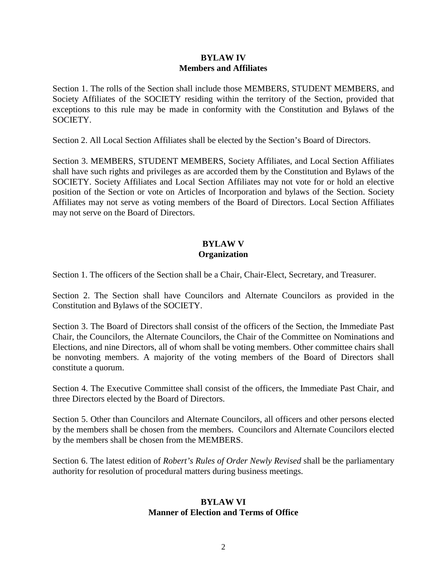### **BYLAW IV Members and Affiliates**

Section 1. The rolls of the Section shall include those MEMBERS, STUDENT MEMBERS, and Society Affiliates of the SOCIETY residing within the territory of the Section, provided that exceptions to this rule may be made in conformity with the Constitution and Bylaws of the SOCIETY.

Section 2. All Local Section Affiliates shall be elected by the Section's Board of Directors.

Section 3. MEMBERS, STUDENT MEMBERS, Society Affiliates, and Local Section Affiliates shall have such rights and privileges as are accorded them by the Constitution and Bylaws of the SOCIETY. Society Affiliates and Local Section Affiliates may not vote for or hold an elective position of the Section or vote on Articles of Incorporation and bylaws of the Section. Society Affiliates may not serve as voting members of the Board of Directors. Local Section Affiliates may not serve on the Board of Directors.

## **BYLAW V Organization**

Section 1. The officers of the Section shall be a Chair, Chair-Elect, Secretary, and Treasurer.

Section 2. The Section shall have Councilors and Alternate Councilors as provided in the Constitution and Bylaws of the SOCIETY.

Section 3. The Board of Directors shall consist of the officers of the Section, the Immediate Past Chair, the Councilors, the Alternate Councilors, the Chair of the Committee on Nominations and Elections, and nine Directors, all of whom shall be voting members. Other committee chairs shall be nonvoting members. A majority of the voting members of the Board of Directors shall constitute a quorum.

Section 4. The Executive Committee shall consist of the officers, the Immediate Past Chair, and three Directors elected by the Board of Directors.

Section 5. Other than Councilors and Alternate Councilors, all officers and other persons elected by the members shall be chosen from the members. Councilors and Alternate Councilors elected by the members shall be chosen from the MEMBERS.

Section 6. The latest edition of *Robert's Rules of Order Newly Revised* shall be the parliamentary authority for resolution of procedural matters during business meetings.

### **BYLAW VI Manner of Election and Terms of Office**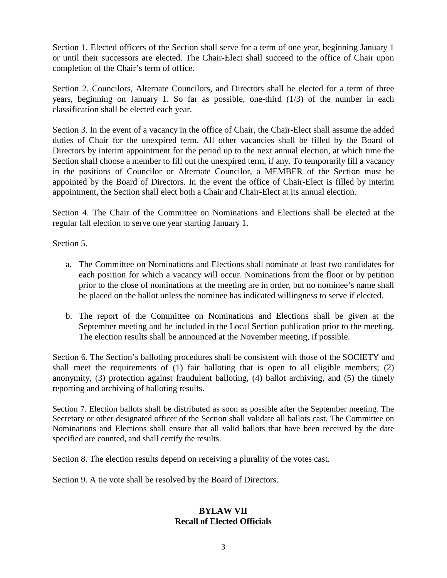Section 1. Elected officers of the Section shall serve for a term of one year, beginning January 1 or until their successors are elected. The Chair-Elect shall succeed to the office of Chair upon completion of the Chair's term of office.

Section 2. Councilors, Alternate Councilors, and Directors shall be elected for a term of three years, beginning on January 1. So far as possible, one-third (1/3) of the number in each classification shall be elected each year.

Section 3. In the event of a vacancy in the office of Chair, the Chair-Elect shall assume the added duties of Chair for the unexpired term. All other vacancies shall be filled by the Board of Directors by interim appointment for the period up to the next annual election, at which time the Section shall choose a member to fill out the unexpired term, if any. To temporarily fill a vacancy in the positions of Councilor or Alternate Councilor, a MEMBER of the Section must be appointed by the Board of Directors. In the event the office of Chair-Elect is filled by interim appointment, the Section shall elect both a Chair and Chair-Elect at its annual election.

Section 4. The Chair of the Committee on Nominations and Elections shall be elected at the regular fall election to serve one year starting January 1.

Section 5.

- a. The Committee on Nominations and Elections shall nominate at least two candidates for each position for which a vacancy will occur. Nominations from the floor or by petition prior to the close of nominations at the meeting are in order, but no nominee's name shall be placed on the ballot unless the nominee has indicated willingness to serve if elected.
- b. The report of the Committee on Nominations and Elections shall be given at the September meeting and be included in the Local Section publication prior to the meeting. The election results shall be announced at the November meeting, if possible.

Section 6. The Section's balloting procedures shall be consistent with those of the SOCIETY and shall meet the requirements of (1) fair balloting that is open to all eligible members; (2) anonymity, (3) protection against fraudulent balloting, (4) ballot archiving, and (5) the timely reporting and archiving of balloting results.

Section 7. Election ballots shall be distributed as soon as possible after the September meeting. The Secretary or other designated officer of the Section shall validate all ballots cast. The Committee on Nominations and Elections shall ensure that all valid ballots that have been received by the date specified are counted, and shall certify the results.

Section 8. The election results depend on receiving a plurality of the votes cast.

Section 9. A tie vote shall be resolved by the Board of Directors.

### **BYLAW VII Recall of Elected Officials**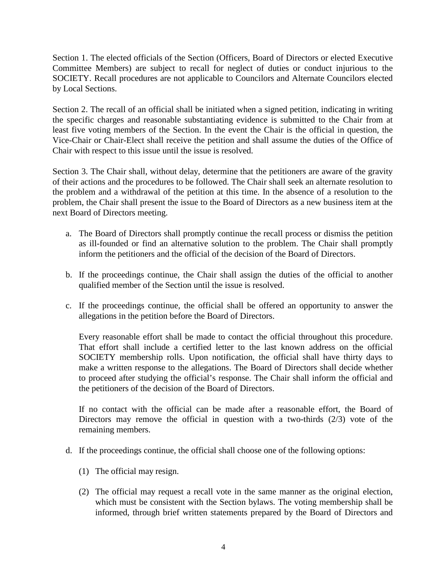Section 1. The elected officials of the Section (Officers, Board of Directors or elected Executive Committee Members) are subject to recall for neglect of duties or conduct injurious to the SOCIETY. Recall procedures are not applicable to Councilors and Alternate Councilors elected by Local Sections.

Section 2. The recall of an official shall be initiated when a signed petition, indicating in writing the specific charges and reasonable substantiating evidence is submitted to the Chair from at least five voting members of the Section. In the event the Chair is the official in question, the Vice-Chair or Chair-Elect shall receive the petition and shall assume the duties of the Office of Chair with respect to this issue until the issue is resolved.

Section 3. The Chair shall, without delay, determine that the petitioners are aware of the gravity of their actions and the procedures to be followed. The Chair shall seek an alternate resolution to the problem and a withdrawal of the petition at this time. In the absence of a resolution to the problem, the Chair shall present the issue to the Board of Directors as a new business item at the next Board of Directors meeting.

- a. The Board of Directors shall promptly continue the recall process or dismiss the petition as ill-founded or find an alternative solution to the problem. The Chair shall promptly inform the petitioners and the official of the decision of the Board of Directors.
- b. If the proceedings continue, the Chair shall assign the duties of the official to another qualified member of the Section until the issue is resolved.
- c. If the proceedings continue, the official shall be offered an opportunity to answer the allegations in the petition before the Board of Directors.

Every reasonable effort shall be made to contact the official throughout this procedure. That effort shall include a certified letter to the last known address on the official SOCIETY membership rolls. Upon notification, the official shall have thirty days to make a written response to the allegations. The Board of Directors shall decide whether to proceed after studying the official's response. The Chair shall inform the official and the petitioners of the decision of the Board of Directors.

If no contact with the official can be made after a reasonable effort, the Board of Directors may remove the official in question with a two-thirds (2/3) vote of the remaining members.

- d. If the proceedings continue, the official shall choose one of the following options:
	- (1) The official may resign.
	- (2) The official may request a recall vote in the same manner as the original election, which must be consistent with the Section bylaws. The voting membership shall be informed, through brief written statements prepared by the Board of Directors and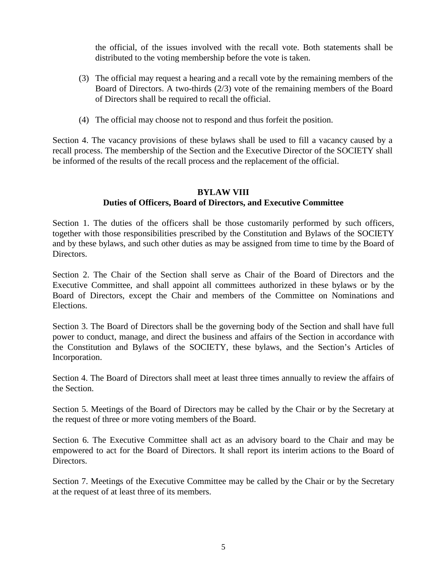the official, of the issues involved with the recall vote. Both statements shall be distributed to the voting membership before the vote is taken.

- (3) The official may request a hearing and a recall vote by the remaining members of the Board of Directors. A two-thirds (2/3) vote of the remaining members of the Board of Directors shall be required to recall the official.
- (4) The official may choose not to respond and thus forfeit the position.

Section 4. The vacancy provisions of these bylaws shall be used to fill a vacancy caused by a recall process. The membership of the Section and the Executive Director of the SOCIETY shall be informed of the results of the recall process and the replacement of the official.

# **BYLAW VIII Duties of Officers, Board of Directors, and Executive Committee**

Section 1. The duties of the officers shall be those customarily performed by such officers, together with those responsibilities prescribed by the Constitution and Bylaws of the SOCIETY and by these bylaws, and such other duties as may be assigned from time to time by the Board of Directors.

Section 2. The Chair of the Section shall serve as Chair of the Board of Directors and the Executive Committee, and shall appoint all committees authorized in these bylaws or by the Board of Directors, except the Chair and members of the Committee on Nominations and Elections.

Section 3. The Board of Directors shall be the governing body of the Section and shall have full power to conduct, manage, and direct the business and affairs of the Section in accordance with the Constitution and Bylaws of the SOCIETY, these bylaws, and the Section's Articles of Incorporation.

Section 4. The Board of Directors shall meet at least three times annually to review the affairs of the Section.

Section 5. Meetings of the Board of Directors may be called by the Chair or by the Secretary at the request of three or more voting members of the Board.

Section 6. The Executive Committee shall act as an advisory board to the Chair and may be empowered to act for the Board of Directors. It shall report its interim actions to the Board of Directors.

Section 7. Meetings of the Executive Committee may be called by the Chair or by the Secretary at the request of at least three of its members.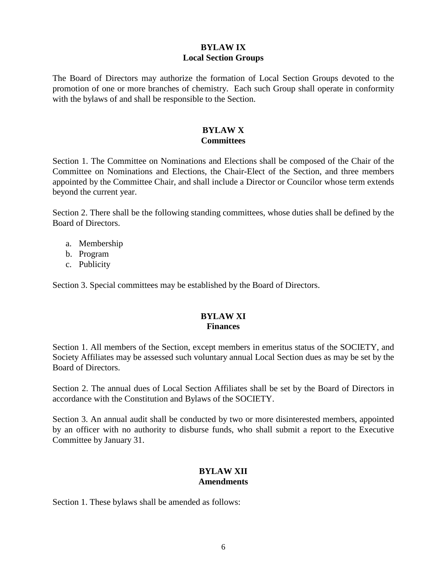# **BYLAW IX Local Section Groups**

The Board of Directors may authorize the formation of Local Section Groups devoted to the promotion of one or more branches of chemistry. Each such Group shall operate in conformity with the bylaws of and shall be responsible to the Section.

### **BYLAW X Committees**

Section 1. The Committee on Nominations and Elections shall be composed of the Chair of the Committee on Nominations and Elections, the Chair-Elect of the Section, and three members appointed by the Committee Chair, and shall include a Director or Councilor whose term extends beyond the current year.

Section 2. There shall be the following standing committees, whose duties shall be defined by the Board of Directors.

- a. Membership
- b. Program
- c. Publicity

Section 3. Special committees may be established by the Board of Directors.

### **BYLAW XI Finances**

Section 1. All members of the Section, except members in emeritus status of the SOCIETY, and Society Affiliates may be assessed such voluntary annual Local Section dues as may be set by the Board of Directors.

Section 2. The annual dues of Local Section Affiliates shall be set by the Board of Directors in accordance with the Constitution and Bylaws of the SOCIETY.

Section 3. An annual audit shall be conducted by two or more disinterested members, appointed by an officer with no authority to disburse funds, who shall submit a report to the Executive Committee by January 31.

## **BYLAW XII Amendments**

Section 1. These bylaws shall be amended as follows: